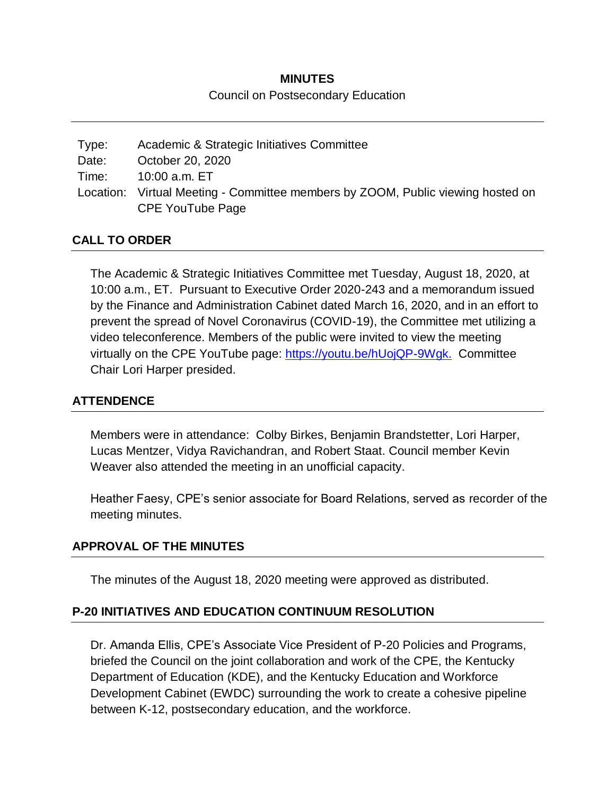# **MINUTES** Council on Postsecondary Education

| Type: | Academic & Strategic Initiatives Committee                                      |
|-------|---------------------------------------------------------------------------------|
| Date: | October 20, 2020                                                                |
| Time: | 10:00 a.m. ET                                                                   |
|       | Location: Virtual Meeting - Committee members by ZOOM, Public viewing hosted on |
|       | CPE YouTube Page                                                                |

### **CALL TO ORDER**

The Academic & Strategic Initiatives Committee met Tuesday, August 18, 2020, at 10:00 a.m., ET. Pursuant to Executive Order 2020-243 and a memorandum issued by the Finance and Administration Cabinet dated March 16, 2020, and in an effort to prevent the spread of Novel Coronavirus (COVID-19), the Committee met utilizing a video teleconference. Members of the public were invited to view the meeting virtually on the CPE YouTube page: [https://youtu.be/hUojQP-9Wgk.](https://youtu.be/hUojQP-9Wgk) Committee Chair Lori Harper presided.

### **ATTENDENCE**

Members were in attendance: Colby Birkes, Benjamin Brandstetter, Lori Harper, Lucas Mentzer, Vidya Ravichandran, and Robert Staat. Council member Kevin Weaver also attended the meeting in an unofficial capacity.

Heather Faesy, CPE's senior associate for Board Relations, served as recorder of the meeting minutes.

### **APPROVAL OF THE MINUTES**

The minutes of the August 18, 2020 meeting were approved as distributed.

### **P-20 INITIATIVES AND EDUCATION CONTINUUM RESOLUTION**

Dr. Amanda Ellis, CPE's Associate Vice President of P-20 Policies and Programs, briefed the Council on the joint collaboration and work of the CPE, the Kentucky Department of Education (KDE), and the Kentucky Education and Workforce Development Cabinet (EWDC) surrounding the work to create a cohesive pipeline between K-12, postsecondary education, and the workforce.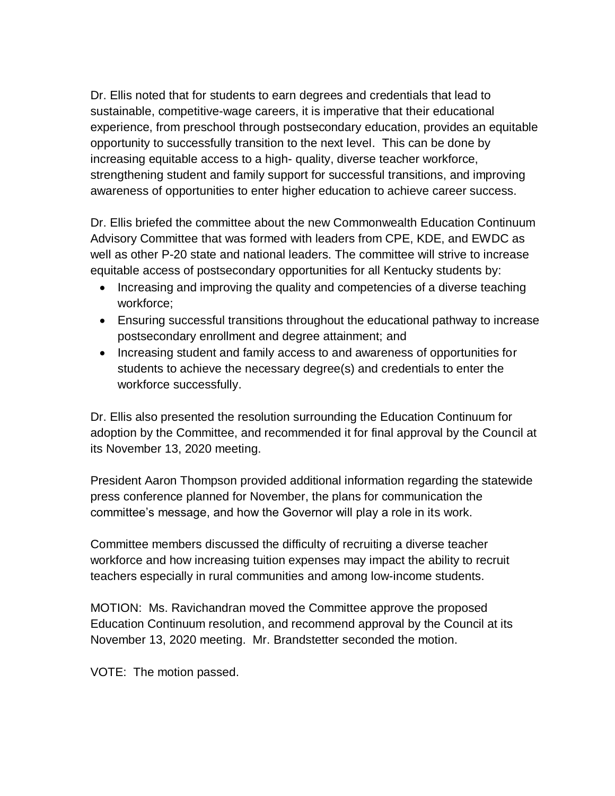Dr. Ellis noted that for students to earn degrees and credentials that lead to sustainable, competitive-wage careers, it is imperative that their educational experience, from preschool through postsecondary education, provides an equitable opportunity to successfully transition to the next level. This can be done by increasing equitable access to a high- quality, diverse teacher workforce, strengthening student and family support for successful transitions, and improving awareness of opportunities to enter higher education to achieve career success.

Dr. Ellis briefed the committee about the new Commonwealth Education Continuum Advisory Committee that was formed with leaders from CPE, KDE, and EWDC as well as other P-20 state and national leaders. The committee will strive to increase equitable access of postsecondary opportunities for all Kentucky students by:

- Increasing and improving the quality and competencies of a diverse teaching workforce;
- Ensuring successful transitions throughout the educational pathway to increase postsecondary enrollment and degree attainment; and
- Increasing student and family access to and awareness of opportunities for students to achieve the necessary degree(s) and credentials to enter the workforce successfully.

Dr. Ellis also presented the resolution surrounding the Education Continuum for adoption by the Committee, and recommended it for final approval by the Council at its November 13, 2020 meeting.

President Aaron Thompson provided additional information regarding the statewide press conference planned for November, the plans for communication the committee's message, and how the Governor will play a role in its work.

Committee members discussed the difficulty of recruiting a diverse teacher workforce and how increasing tuition expenses may impact the ability to recruit teachers especially in rural communities and among low-income students.

MOTION: Ms. Ravichandran moved the Committee approve the proposed Education Continuum resolution, and recommend approval by the Council at its November 13, 2020 meeting. Mr. Brandstetter seconded the motion.

VOTE: The motion passed.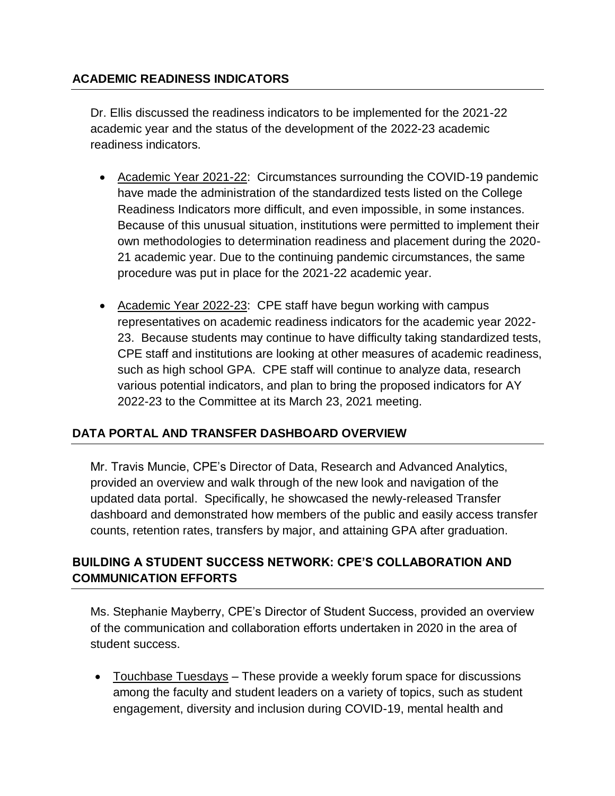## **ACADEMIC READINESS INDICATORS**

Dr. Ellis discussed the readiness indicators to be implemented for the 2021-22 academic year and the status of the development of the 2022-23 academic readiness indicators.

- Academic Year 2021-22: Circumstances surrounding the COVID-19 pandemic have made the administration of the standardized tests listed on the College Readiness Indicators more difficult, and even impossible, in some instances. Because of this unusual situation, institutions were permitted to implement their own methodologies to determination readiness and placement during the 2020- 21 academic year. Due to the continuing pandemic circumstances, the same procedure was put in place for the 2021-22 academic year.
- Academic Year 2022-23: CPE staff have begun working with campus representatives on academic readiness indicators for the academic year 2022- 23. Because students may continue to have difficulty taking standardized tests, CPE staff and institutions are looking at other measures of academic readiness, such as high school GPA. CPE staff will continue to analyze data, research various potential indicators, and plan to bring the proposed indicators for AY 2022-23 to the Committee at its March 23, 2021 meeting.

## **DATA PORTAL AND TRANSFER DASHBOARD OVERVIEW**

Mr. Travis Muncie, CPE's Director of Data, Research and Advanced Analytics, provided an overview and walk through of the new look and navigation of the updated data portal. Specifically, he showcased the newly-released Transfer dashboard and demonstrated how members of the public and easily access transfer counts, retention rates, transfers by major, and attaining GPA after graduation.

## **BUILDING A STUDENT SUCCESS NETWORK: CPE'S COLLABORATION AND COMMUNICATION EFFORTS**

Ms. Stephanie Mayberry, CPE's Director of Student Success, provided an overview of the communication and collaboration efforts undertaken in 2020 in the area of student success.

 Touchbase Tuesdays – These provide a weekly forum space for discussions among the faculty and student leaders on a variety of topics, such as student engagement, diversity and inclusion during COVID-19, mental health and